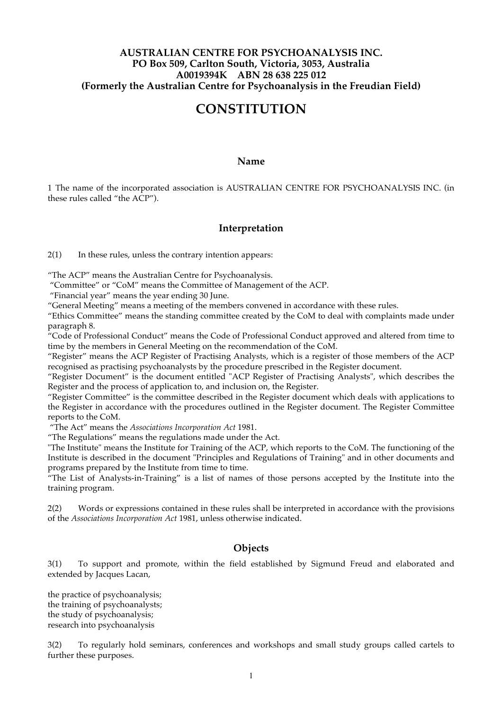# **AUSTRALIAN CENTRE FOR PSYCHOANALYSIS INC. PO Box 509, Carlton South, Victoria, 3053, Australia A0019394K ABN 28 638 225 012 (Formerly the Australian Centre for Psychoanalysis in the Freudian Field)**

# **CONSTITUTION**

#### **Name**

1 The name of the incorporated association is AUSTRALIAN CENTRE FOR PSYCHOANALYSIS INC. (in these rules called "the ACP").

#### **Interpretation**

2(1) In these rules, unless the contrary intention appears:

"The ACP" means the Australian Centre for Psychoanalysis.

"Committee" or "CoM" means the Committee of Management of the ACP.

"Financial year" means the year ending 30 June.

"General Meeting" means a meeting of the members convened in accordance with these rules.

"Ethics Committee" means the standing committee created by the CoM to deal with complaints made under paragraph 8.

"Code of Professional Conduct" means the Code of Professional Conduct approved and altered from time to time by the members in General Meeting on the recommendation of the CoM.

"Register" means the ACP Register of Practising Analysts, which is a register of those members of the ACP recognised as practising psychoanalysts by the procedure prescribed in the Register document.

"Register Document" is the document entitled "ACP Register of Practising Analysts", which describes the Register and the process of application to, and inclusion on, the Register.

"Register Committee" is the committee described in the Register document which deals with applications to the Register in accordance with the procedures outlined in the Register document. The Register Committee reports to the CoM.

"The Act" means the *Associations Incorporation Act* 1981.

"The Regulations" means the regulations made under the Act.

"The Institute" means the Institute for Training of the ACP, which reports to the CoM. The functioning of the Institute is described in the document "Principles and Regulations of Training" and in other documents and programs prepared by the Institute from time to time.

"The List of Analysts-in-Training" is a list of names of those persons accepted by the Institute into the training program.

2(2) Words or expressions contained in these rules shall be interpreted in accordance with the provisions of the *Associations Incorporation Act* 1981, unless otherwise indicated.

## **Objects**

3(1) To support and promote, within the field established by Sigmund Freud and elaborated and extended by Jacques Lacan,

the practice of psychoanalysis; the training of psychoanalysts; the study of psychoanalysis; research into psychoanalysis

3(2) To regularly hold seminars, conferences and workshops and small study groups called cartels to further these purposes.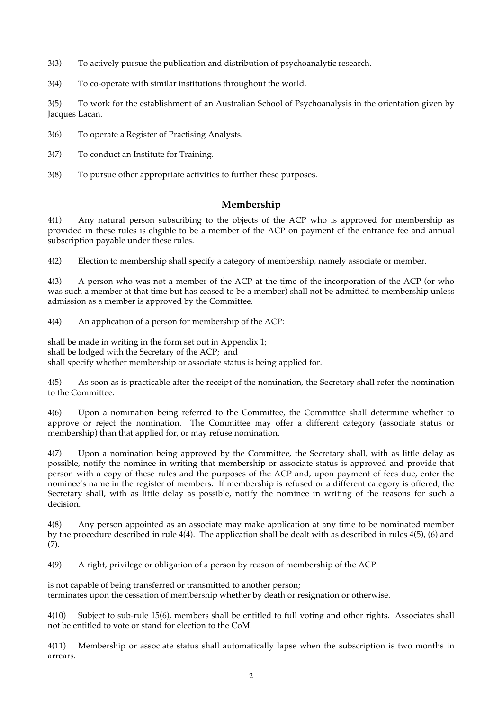3(3) To actively pursue the publication and distribution of psychoanalytic research.

3(4) To co-operate with similar institutions throughout the world.

3(5) To work for the establishment of an Australian School of Psychoanalysis in the orientation given by Jacques Lacan.

3(6) To operate a Register of Practising Analysts.

3(7) To conduct an Institute for Training.

3(8) To pursue other appropriate activities to further these purposes.

# **Membership**

4(1) Any natural person subscribing to the objects of the ACP who is approved for membership as provided in these rules is eligible to be a member of the ACP on payment of the entrance fee and annual subscription payable under these rules.

4(2) Election to membership shall specify a category of membership, namely associate or member.

4(3) A person who was not a member of the ACP at the time of the incorporation of the ACP (or who was such a member at that time but has ceased to be a member) shall not be admitted to membership unless admission as a member is approved by the Committee.

4(4) An application of a person for membership of the ACP:

shall be made in writing in the form set out in Appendix 1; shall be lodged with the Secretary of the ACP; and shall specify whether membership or associate status is being applied for.

4(5) As soon as is practicable after the receipt of the nomination, the Secretary shall refer the nomination to the Committee.

4(6) Upon a nomination being referred to the Committee, the Committee shall determine whether to approve or reject the nomination. The Committee may offer a different category (associate status or membership) than that applied for, or may refuse nomination.

4(7) Upon a nomination being approved by the Committee, the Secretary shall, with as little delay as possible, notify the nominee in writing that membership or associate status is approved and provide that person with a copy of these rules and the purposes of the ACP and, upon payment of fees due, enter the nominee's name in the register of members. If membership is refused or a different category is offered, the Secretary shall, with as little delay as possible, notify the nominee in writing of the reasons for such a decision.

4(8) Any person appointed as an associate may make application at any time to be nominated member by the procedure described in rule 4(4). The application shall be dealt with as described in rules 4(5), (6) and (7).

4(9) A right, privilege or obligation of a person by reason of membership of the ACP:

is not capable of being transferred or transmitted to another person; terminates upon the cessation of membership whether by death or resignation or otherwise.

4(10) Subject to sub-rule 15(6), members shall be entitled to full voting and other rights. Associates shall not be entitled to vote or stand for election to the CoM.

4(11) Membership or associate status shall automatically lapse when the subscription is two months in arrears.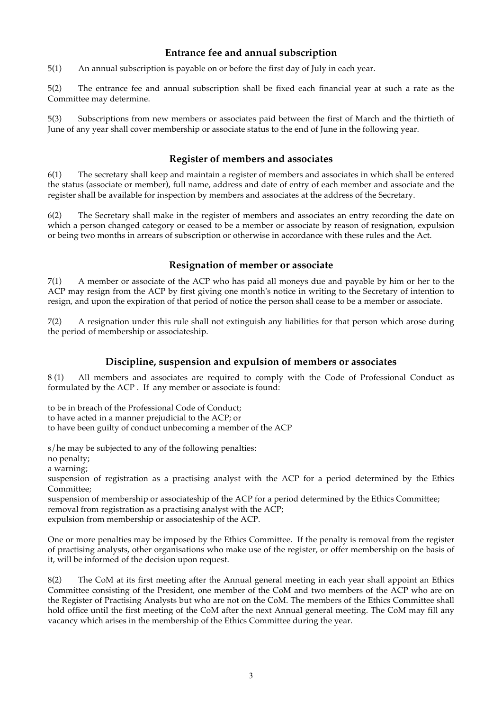# **Entrance fee and annual subscription**

5(1) An annual subscription is payable on or before the first day of July in each year.

5(2) The entrance fee and annual subscription shall be fixed each financial year at such a rate as the Committee may determine.

5(3) Subscriptions from new members or associates paid between the first of March and the thirtieth of June of any year shall cover membership or associate status to the end of June in the following year.

# **Register of members and associates**

6(1) The secretary shall keep and maintain a register of members and associates in which shall be entered the status (associate or member), full name, address and date of entry of each member and associate and the register shall be available for inspection by members and associates at the address of the Secretary.

6(2) The Secretary shall make in the register of members and associates an entry recording the date on which a person changed category or ceased to be a member or associate by reason of resignation, expulsion or being two months in arrears of subscription or otherwise in accordance with these rules and the Act.

# **Resignation of member or associate**

7(1) A member or associate of the ACP who has paid all moneys due and payable by him or her to the ACP may resign from the ACP by first giving one month's notice in writing to the Secretary of intention to resign, and upon the expiration of that period of notice the person shall cease to be a member or associate.

7(2) A resignation under this rule shall not extinguish any liabilities for that person which arose during the period of membership or associateship.

# **Discipline, suspension and expulsion of members or associates**

8 (1) All members and associates are required to comply with the Code of Professional Conduct as formulated by the ACP . If any member or associate is found:

to be in breach of the Professional Code of Conduct;

to have acted in a manner prejudicial to the ACP; or

to have been guilty of conduct unbecoming a member of the ACP

s/he may be subjected to any of the following penalties:

no penalty;

a warning;

suspension of registration as a practising analyst with the ACP for a period determined by the Ethics Committee;

suspension of membership or associateship of the ACP for a period determined by the Ethics Committee; removal from registration as a practising analyst with the ACP; expulsion from membership or associateship of the ACP.

One or more penalties may be imposed by the Ethics Committee. If the penalty is removal from the register of practising analysts, other organisations who make use of the register, or offer membership on the basis of it, will be informed of the decision upon request.

8(2) The CoM at its first meeting after the Annual general meeting in each year shall appoint an Ethics Committee consisting of the President, one member of the CoM and two members of the ACP who are on the Register of Practising Analysts but who are not on the CoM. The members of the Ethics Committee shall hold office until the first meeting of the CoM after the next Annual general meeting. The CoM may fill any vacancy which arises in the membership of the Ethics Committee during the year.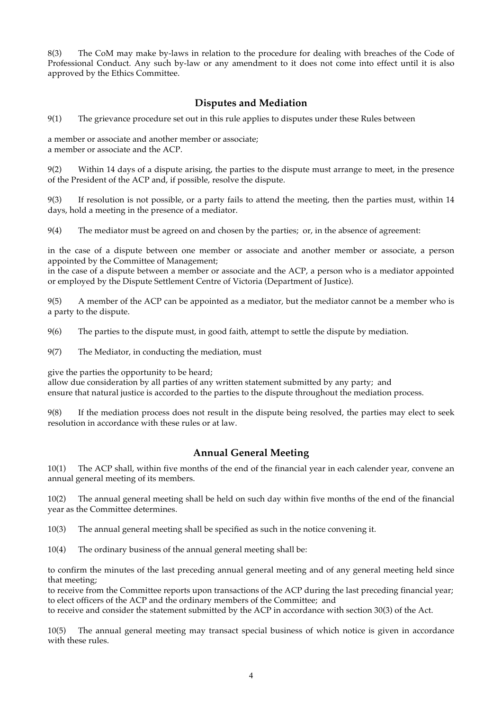8(3) The CoM may make by-laws in relation to the procedure for dealing with breaches of the Code of Professional Conduct. Any such by-law or any amendment to it does not come into effect until it is also approved by the Ethics Committee.

# **Disputes and Mediation**

9(1) The grievance procedure set out in this rule applies to disputes under these Rules between

a member or associate and another member or associate; a member or associate and the ACP.

9(2) Within 14 days of a dispute arising, the parties to the dispute must arrange to meet, in the presence of the President of the ACP and, if possible, resolve the dispute.

9(3) If resolution is not possible, or a party fails to attend the meeting, then the parties must, within 14 days, hold a meeting in the presence of a mediator.

9(4) The mediator must be agreed on and chosen by the parties; or, in the absence of agreement:

in the case of a dispute between one member or associate and another member or associate, a person appointed by the Committee of Management;

in the case of a dispute between a member or associate and the ACP, a person who is a mediator appointed or employed by the Dispute Settlement Centre of Victoria (Department of Justice).

9(5) A member of the ACP can be appointed as a mediator, but the mediator cannot be a member who is a party to the dispute.

9(6) The parties to the dispute must, in good faith, attempt to settle the dispute by mediation.

9(7) The Mediator, in conducting the mediation, must

give the parties the opportunity to be heard;

allow due consideration by all parties of any written statement submitted by any party; and ensure that natural justice is accorded to the parties to the dispute throughout the mediation process.

9(8) If the mediation process does not result in the dispute being resolved, the parties may elect to seek resolution in accordance with these rules or at law.

## **Annual General Meeting**

10(1) The ACP shall, within five months of the end of the financial year in each calender year, convene an annual general meeting of its members.

10(2) The annual general meeting shall be held on such day within five months of the end of the financial year as the Committee determines.

10(3) The annual general meeting shall be specified as such in the notice convening it.

10(4) The ordinary business of the annual general meeting shall be:

to confirm the minutes of the last preceding annual general meeting and of any general meeting held since that meeting;

to receive from the Committee reports upon transactions of the ACP during the last preceding financial year; to elect officers of the ACP and the ordinary members of the Committee; and

to receive and consider the statement submitted by the ACP in accordance with section 30(3) of the Act.

10(5) The annual general meeting may transact special business of which notice is given in accordance with these rules.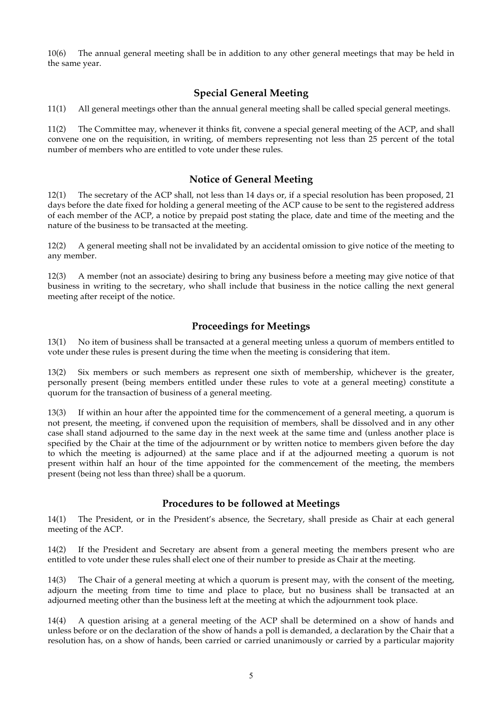10(6) The annual general meeting shall be in addition to any other general meetings that may be held in the same year.

# **Special General Meeting**

11(1) All general meetings other than the annual general meeting shall be called special general meetings.

11(2) The Committee may, whenever it thinks fit, convene a special general meeting of the ACP, and shall convene one on the requisition, in writing, of members representing not less than 25 percent of the total number of members who are entitled to vote under these rules.

#### **Notice of General Meeting**

12(1) The secretary of the ACP shall, not less than 14 days or, if a special resolution has been proposed, 21 days before the date fixed for holding a general meeting of the ACP cause to be sent to the registered address of each member of the ACP, a notice by prepaid post stating the place, date and time of the meeting and the nature of the business to be transacted at the meeting.

12(2) A general meeting shall not be invalidated by an accidental omission to give notice of the meeting to any member.

12(3) A member (not an associate) desiring to bring any business before a meeting may give notice of that business in writing to the secretary, who shall include that business in the notice calling the next general meeting after receipt of the notice.

# **Proceedings for Meetings**

13(1) No item of business shall be transacted at a general meeting unless a quorum of members entitled to vote under these rules is present during the time when the meeting is considering that item.

13(2) Six members or such members as represent one sixth of membership, whichever is the greater, personally present (being members entitled under these rules to vote at a general meeting) constitute a quorum for the transaction of business of a general meeting.

13(3) If within an hour after the appointed time for the commencement of a general meeting, a quorum is not present, the meeting, if convened upon the requisition of members, shall be dissolved and in any other case shall stand adjourned to the same day in the next week at the same time and (unless another place is specified by the Chair at the time of the adjournment or by written notice to members given before the day to which the meeting is adjourned) at the same place and if at the adjourned meeting a quorum is not present within half an hour of the time appointed for the commencement of the meeting, the members present (being not less than three) shall be a quorum.

## **Procedures to be followed at Meetings**

14(1) The President, or in the President's absence, the Secretary, shall preside as Chair at each general meeting of the ACP.

14(2) If the President and Secretary are absent from a general meeting the members present who are entitled to vote under these rules shall elect one of their number to preside as Chair at the meeting.

14(3) The Chair of a general meeting at which a quorum is present may, with the consent of the meeting, adjourn the meeting from time to time and place to place, but no business shall be transacted at an adjourned meeting other than the business left at the meeting at which the adjournment took place.

14(4) A question arising at a general meeting of the ACP shall be determined on a show of hands and unless before or on the declaration of the show of hands a poll is demanded, a declaration by the Chair that a resolution has, on a show of hands, been carried or carried unanimously or carried by a particular majority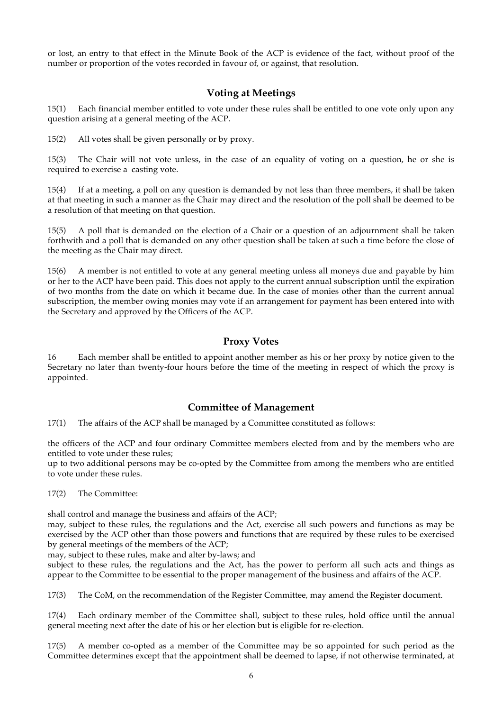or lost, an entry to that effect in the Minute Book of the ACP is evidence of the fact, without proof of the number or proportion of the votes recorded in favour of, or against, that resolution.

# **Voting at Meetings**

15(1) Each financial member entitled to vote under these rules shall be entitled to one vote only upon any question arising at a general meeting of the ACP.

15(2) All votes shall be given personally or by proxy.

15(3) The Chair will not vote unless, in the case of an equality of voting on a question, he or she is required to exercise a casting vote.

15(4) If at a meeting, a poll on any question is demanded by not less than three members, it shall be taken at that meeting in such a manner as the Chair may direct and the resolution of the poll shall be deemed to be a resolution of that meeting on that question.

15(5) A poll that is demanded on the election of a Chair or a question of an adjournment shall be taken forthwith and a poll that is demanded on any other question shall be taken at such a time before the close of the meeting as the Chair may direct.

15(6) A member is not entitled to vote at any general meeting unless all moneys due and payable by him or her to the ACP have been paid. This does not apply to the current annual subscription until the expiration of two months from the date on which it became due. In the case of monies other than the current annual subscription, the member owing monies may vote if an arrangement for payment has been entered into with the Secretary and approved by the Officers of the ACP.

## **Proxy Votes**

16 Each member shall be entitled to appoint another member as his or her proxy by notice given to the Secretary no later than twenty-four hours before the time of the meeting in respect of which the proxy is appointed.

## **Committee of Management**

17(1) The affairs of the ACP shall be managed by a Committee constituted as follows:

the officers of the ACP and four ordinary Committee members elected from and by the members who are entitled to vote under these rules;

up to two additional persons may be co-opted by the Committee from among the members who are entitled to vote under these rules.

17(2) The Committee:

shall control and manage the business and affairs of the ACP;

may, subject to these rules, the regulations and the Act, exercise all such powers and functions as may be exercised by the ACP other than those powers and functions that are required by these rules to be exercised by general meetings of the members of the ACP;

may, subject to these rules, make and alter by-laws; and

subject to these rules, the regulations and the Act, has the power to perform all such acts and things as appear to the Committee to be essential to the proper management of the business and affairs of the ACP.

17(3) The CoM, on the recommendation of the Register Committee, may amend the Register document.

17(4) Each ordinary member of the Committee shall, subject to these rules, hold office until the annual general meeting next after the date of his or her election but is eligible for re-election.

17(5) A member co-opted as a member of the Committee may be so appointed for such period as the Committee determines except that the appointment shall be deemed to lapse, if not otherwise terminated, at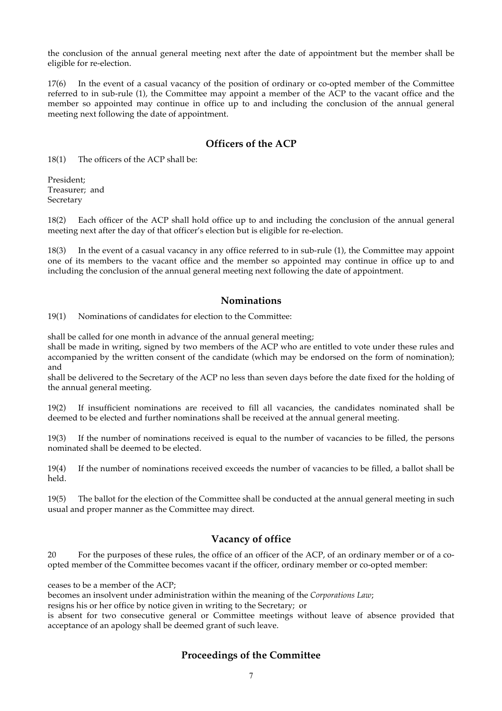the conclusion of the annual general meeting next after the date of appointment but the member shall be eligible for re-election.

17(6) In the event of a casual vacancy of the position of ordinary or co-opted member of the Committee referred to in sub-rule (1), the Committee may appoint a member of the ACP to the vacant office and the member so appointed may continue in office up to and including the conclusion of the annual general meeting next following the date of appointment.

# **Officers of the ACP**

18(1) The officers of the ACP shall be:

President; Treasurer; and Secretary

18(2) Each officer of the ACP shall hold office up to and including the conclusion of the annual general meeting next after the day of that officer's election but is eligible for re-election.

18(3) In the event of a casual vacancy in any office referred to in sub-rule (1), the Committee may appoint one of its members to the vacant office and the member so appointed may continue in office up to and including the conclusion of the annual general meeting next following the date of appointment.

# **Nominations**

19(1) Nominations of candidates for election to the Committee:

shall be called for one month in advance of the annual general meeting;

shall be made in writing, signed by two members of the ACP who are entitled to vote under these rules and accompanied by the written consent of the candidate (which may be endorsed on the form of nomination); and

shall be delivered to the Secretary of the ACP no less than seven days before the date fixed for the holding of the annual general meeting.

19(2) If insufficient nominations are received to fill all vacancies, the candidates nominated shall be deemed to be elected and further nominations shall be received at the annual general meeting.

19(3) If the number of nominations received is equal to the number of vacancies to be filled, the persons nominated shall be deemed to be elected.

19(4) If the number of nominations received exceeds the number of vacancies to be filled, a ballot shall be held.

19(5) The ballot for the election of the Committee shall be conducted at the annual general meeting in such usual and proper manner as the Committee may direct.

# **Vacancy of office**

20 For the purposes of these rules, the office of an officer of the ACP, of an ordinary member or of a coopted member of the Committee becomes vacant if the officer, ordinary member or co-opted member:

ceases to be a member of the ACP;

becomes an insolvent under administration within the meaning of the *Corporations Law*;

resigns his or her office by notice given in writing to the Secretary; or

is absent for two consecutive general or Committee meetings without leave of absence provided that acceptance of an apology shall be deemed grant of such leave.

# **Proceedings of the Committee**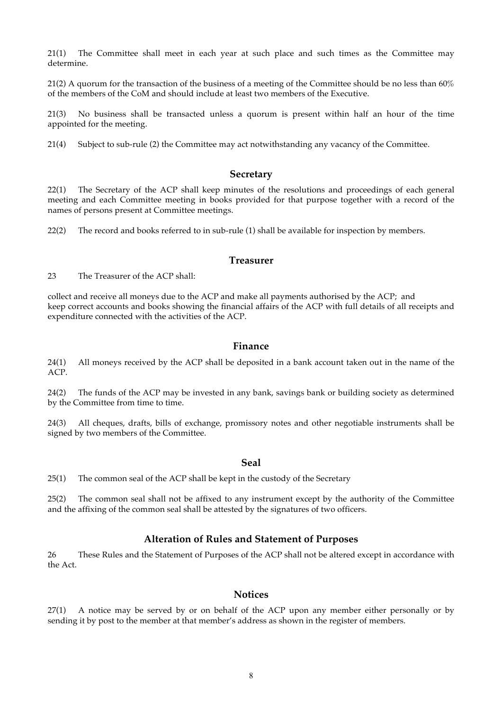21(1) The Committee shall meet in each year at such place and such times as the Committee may determine.

21(2) A quorum for the transaction of the business of a meeting of the Committee should be no less than  $60\%$ of the members of the CoM and should include at least two members of the Executive.

21(3) No business shall be transacted unless a quorum is present within half an hour of the time appointed for the meeting.

21(4) Subject to sub-rule (2) the Committee may act notwithstanding any vacancy of the Committee.

#### **Secretary**

22(1) The Secretary of the ACP shall keep minutes of the resolutions and proceedings of each general meeting and each Committee meeting in books provided for that purpose together with a record of the names of persons present at Committee meetings.

22(2) The record and books referred to in sub-rule (1) shall be available for inspection by members.

#### **Treasurer**

23 The Treasurer of the ACP shall:

collect and receive all moneys due to the ACP and make all payments authorised by the ACP; and keep correct accounts and books showing the financial affairs of the ACP with full details of all receipts and expenditure connected with the activities of the ACP.

#### **Finance**

24(1) All moneys received by the ACP shall be deposited in a bank account taken out in the name of the ACP.

24(2) The funds of the ACP may be invested in any bank, savings bank or building society as determined by the Committee from time to time.

24(3) All cheques, drafts, bills of exchange, promissory notes and other negotiable instruments shall be signed by two members of the Committee.

#### **Seal**

25(1) The common seal of the ACP shall be kept in the custody of the Secretary

25(2) The common seal shall not be affixed to any instrument except by the authority of the Committee and the affixing of the common seal shall be attested by the signatures of two officers.

#### **Alteration of Rules and Statement of Purposes**

26 These Rules and the Statement of Purposes of the ACP shall not be altered except in accordance with the Act.

#### **Notices**

27(1) A notice may be served by or on behalf of the ACP upon any member either personally or by sending it by post to the member at that member's address as shown in the register of members.